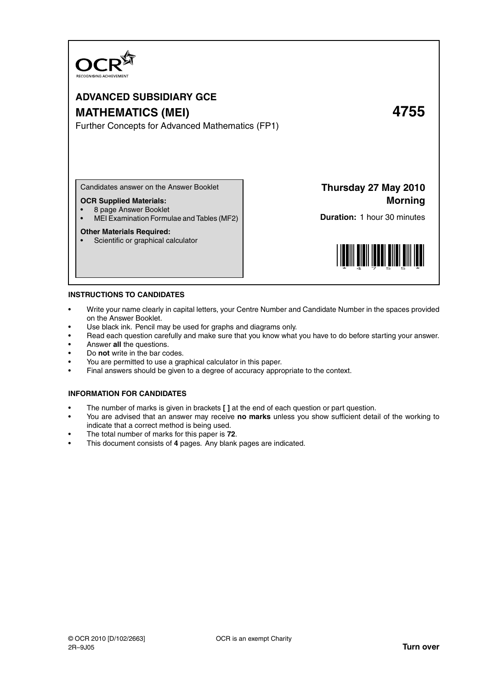

# **ADVANCED SUBSIDIARY GCE**

## **MATHEMATICS (MEI) 4755**

Further Concepts for Advanced Mathematics (FP1)

Candidates answer on the Answer Booklet

#### **OCR Supplied Materials:**

- 8 page Answer Booklet
- MEI Examination Formulae and Tables (MF2)

#### **Other Materials Required:**

• Scientific or graphical calculator

**Thursday 27 May 2010 Morning**

**Duration:** 1 hour 30 minutes



#### **INSTRUCTIONS TO CANDIDATES**

- Write your name clearly in capital letters, your Centre Number and Candidate Number in the spaces provided on the Answer Booklet.
- Use black ink. Pencil may be used for graphs and diagrams only.
- Read each question carefully and make sure that you know what you have to do before starting your answer.
- Answer **all** the questions.
- Do **not** write in the bar codes.
- You are permitted to use a graphical calculator in this paper.
- Final answers should be given to a degree of accuracy appropriate to the context.

#### **INFORMATION FOR CANDIDATES**

- The number of marks is given in brackets **[ ]** at the end of each question or part question.
- You are advised that an answer may receive **no marks** unless you show sufficient detail of the working to indicate that a correct method is being used.
- The total number of marks for this paper is **72**.
- This document consists of **4** pages. Any blank pages are indicated.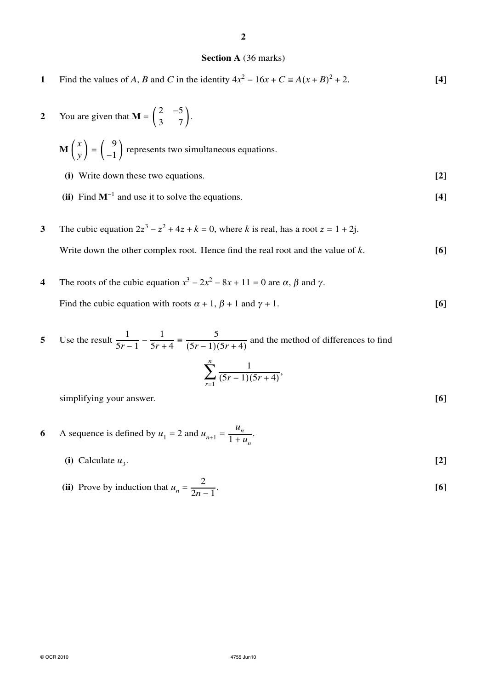### **2**

### **Section A** (36 marks)

- **1** Find the values of *A*, *B* and *C* in the identity  $4x^2 16x + C = A(x + B)^2 + 2$ . [4]
- **2** You are given that **M** =  $\begin{pmatrix} 2 & -5 \\ 3 & 7 \end{pmatrix}$ .
	- $\mathbf{M} \left( \begin{array}{c} x \\ y \end{array} \right)$  $_y$  =  $($ 9  $\begin{pmatrix} 1 \\ -1 \end{pmatrix}$  represents two simultaneous equations.
	- **(i)** Write down these two equations. **[2]**
	- **(ii)** Find  $M^{-1}$  and use it to solve the equations.  $[4]$
- **3** The cubic equation  $2z^3 z^2 + 4z + k = 0$ , where *k* is real, has a root  $z = 1 + 2j$ . Write down the other complex root. Hence find the real root and the value of *k*. **[6]**
- **4** The roots of the cubic equation  $x^3 2x^2 8x + 11 = 0$  are  $\alpha$ ,  $\beta$  and  $\gamma$ . Find the cubic equation with roots  $\alpha + 1$ ,  $\beta + 1$  and  $\gamma + 1$ . **[6]**
- **5** Use the result  $\frac{1}{5}$  $\frac{5r-1}{-}$ 1  $\frac{1}{5r+4}$ 5  $\frac{5}{(5r-1)(5r+4)}$  and the method of differences to find *n*  $\sum_{r=1}^{n} \frac{1}{(5r-1)(5r-1)}$  $\frac{1}{(5r-1)(5r+4)}$ simplifying your answer. **[6]**

- **6** A sequence is defined by  $u_1 = 2$  and  $u_{n+1} =$ *un*  $\frac{u_n}{1+u_n}.$ 
	- (i) Calculate  $u_3$ .

(ii) Prove by induction that 
$$
u_n = \frac{2}{2n-1}
$$
. [6]

. **[2]**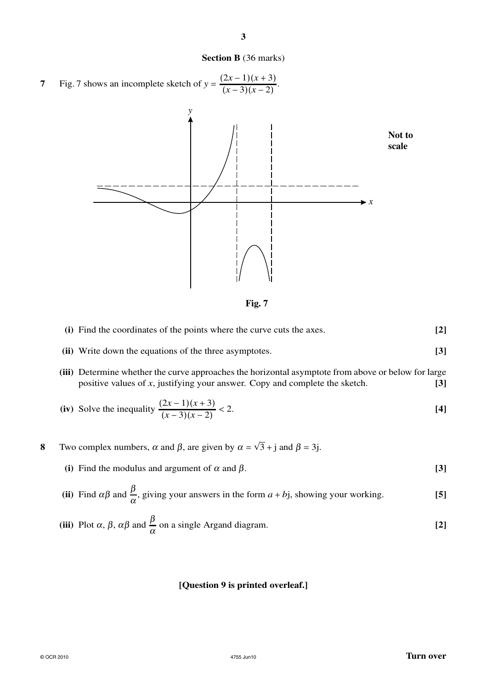

**3**



**Fig. 7**

| (i) Find the coordinates of the points where the curve cuts the axes. |  |
|-----------------------------------------------------------------------|--|
|                                                                       |  |

- **(ii)** Write down the equations of the three asymptotes. **[3]**
- **(iii)** Determine whether the curve approaches the horizontal asymptote from above or below for large positive values of *x*, justifying your answer. Copy and complete the sketch. **[3]**

(iv) Solve the inequality 
$$
\frac{(2x-1)(x+3)}{(x-3)(x-2)} < 2.
$$
 [4]

- **8** Two complex numbers,  $\alpha$  and  $\beta$ , are given by  $\alpha = \sqrt{3} + j$  and  $\beta = 3j$ .
	- (i) Find the modulus and argument of  $\alpha$  and  $\beta$ . **[3]**
	- (ii) Find  $\alpha\beta$  and  $\frac{\beta}{\alpha}$ , giving your answers in the form  $a + bj$ , showing your working. **[5]**

(iii) Plot 
$$
\alpha
$$
,  $\beta$ ,  $\alpha\beta$  and  $\frac{\beta}{\alpha}$  on a single Argand diagram. [2]

### **[Question 9 is printed overleaf.]**